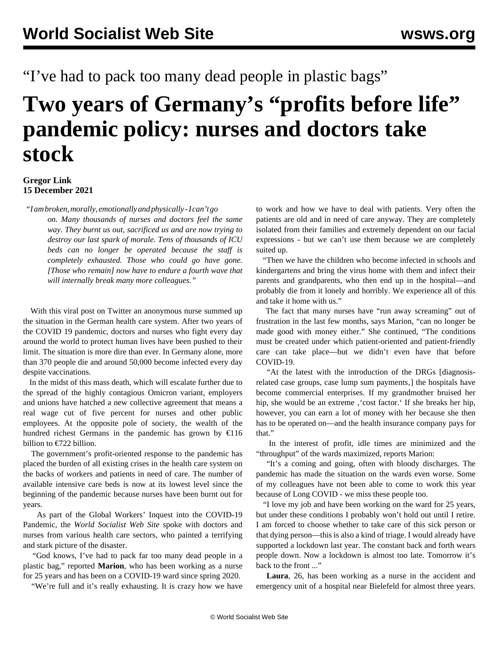"I've had to pack too many dead people in plastic bags"

## **Two years of Germany's "profits before life" pandemic policy: nurses and doctors take stock**

## **Gregor Link 15 December 2021**

*"I am broken, morally, emotionally and physically - I can't go*

*on. Many thousands of nurses and doctors feel the same way. They burnt us out, sacrificed us and are now trying to destroy our last spark of morale. Tens of thousands of ICU beds can no longer be operated because the staff is completely exhausted. Those who could go have gone. [Those who remain] now have to endure a fourth wave that will internally break many more colleagues."*

 With this viral post on [Twitter](https://twitter.com/hospit) an anonymous nurse summed up the situation in the German health care system. After two years of the COVID 19 pandemic, doctors and nurses who fight every day around the world to protect human lives have been pushed to their limit. The situation is more dire than ever. In Germany alone, more than 370 people die and around 50,000 become infected every day despite vaccinations.

 In the midst of this mass death, which will escalate further due to the spread of the highly contagious Omicron variant, employers and unions have hatched a new collective agreement that means a real wage cut of five percent for nurses and other public employees. At the opposite pole of society, the wealth of the hundred richest Germans in the pandemic has grown by €116 billion to €722 billion.

 The government's profit-oriented response to the pandemic has placed the burden of all existing crises in the health care system on the backs of workers and patients in need of care. The number of available intensive care beds is now at its lowest level since the beginning of the pandemic because nurses have been burnt out for years.

 As part of the Global Workers' Inquest into the COVID-19 Pandemic, the *World Socialist Web Site* spoke with doctors and nurses from various health care sectors, who painted a terrifying and stark picture of the disaster.

 "God knows, I've had to pack far too many dead people in a plastic bag," reported **Marion**, who has been working as a nurse for 25 years and has been on a COVID-19 ward since spring 2020.

"We're full and it's really exhausting. It is crazy how we have

to work and how we have to deal with patients. Very often the patients are old and in need of care anyway. They are completely isolated from their families and extremely dependent on our facial expressions - but we can't use them because we are completely suited up.

 "Then we have the children who become infected in schools and kindergartens and bring the virus home with them and infect their parents and grandparents, who then end up in the hospital—and probably die from it lonely and horribly. We experience all of this and take it home with us."

 The fact that many nurses have "run away screaming" out of frustration in the last few months, says Marion, "can no longer be made good with money either." She continued, "The conditions must be created under which patient-oriented and patient-friendly care can take place—but we didn't even have that before COVID-19.

 "At the latest with the introduction of the DRGs [diagnosisrelated case groups, case lump sum payments, the hospitals have become commercial enterprises. If my grandmother bruised her hip, she would be an extreme, 'cost factor.' If she breaks her hip, however, you can earn a lot of money with her because she then has to be operated on—and the health insurance company pays for that."

 In the interest of profit, idle times are minimized and the "throughput" of the wards maximized, reports Marion:

 "It's a coming and going, often with bloody discharges. The pandemic has made the situation on the wards even worse. Some of my colleagues have not been able to come to work this year because of Long COVID - we miss these people too.

 "I love my job and have been working on the ward for 25 years, but under these conditions I probably won't hold out until I retire. I am forced to choose whether to take care of this sick person or that dying person—this is also a kind of triage. I would already have supported a lockdown last year. The constant back and forth wears people down. Now a lockdown is almost too late. Tomorrow it's back to the front ..."

 **Laura**, 26, has been working as a nurse in the accident and emergency unit of a hospital near Bielefeld for almost three years.